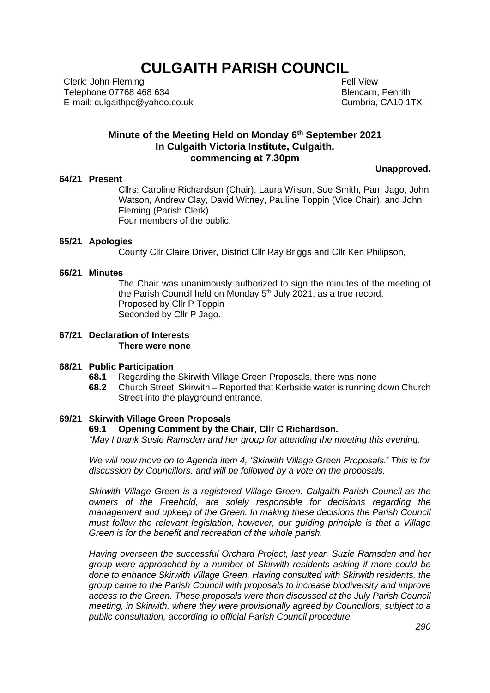# **CULGAITH PARISH COUNCIL**

Clerk: John Fleming Telephone 07768 468 634 E-mail: culgaithpc@yahoo.co.uk  Fell View Blencarn, Penrith Cumbria, CA10 1TX

## **Minute of the Meeting Held on Monday 6 th September 2021 In Culgaith Victoria Institute, Culgaith. commencing at 7.30pm**

#### **64/21 Present**

**Unapproved.**

Cllrs: Caroline Richardson (Chair), Laura Wilson, Sue Smith, Pam Jago, John Watson, Andrew Clay, David Witney, Pauline Toppin (Vice Chair), and John Fleming (Parish Clerk) Four members of the public.

#### **65/21 Apologies**

County Cllr Claire Driver, District Cllr Ray Briggs and Cllr Ken Philipson,

#### **66/21 Minutes**

The Chair was unanimously authorized to sign the minutes of the meeting of the Parish Council held on Monday 5<sup>th</sup> July 2021, as a true record. Proposed by Cllr P Toppin Seconded by Cllr P Jago.

#### **67/21 Declaration of Interests There were none**

#### **68/21 Public Participation**

- **68.1** Regarding the Skirwith Village Green Proposals, there was none
- **68.2** Church Street, Skirwith Reported that Kerbside water is running down Church Street into the playground entrance.

#### **69/21 Skirwith Village Green Proposals**

### **69.1 Opening Comment by the Chair, Cllr C Richardson.**

*"May I thank Susie Ramsden and her group for attending the meeting this evening.*

*We will now move on to Agenda item 4, 'Skirwith Village Green Proposals.' This is for discussion by Councillors, and will be followed by a vote on the proposals.*

*Skirwith Village Green is a registered Village Green. Culgaith Parish Council as the owners of the Freehold, are solely responsible for decisions regarding the management and upkeep of the Green. In making these decisions the Parish Council must follow the relevant legislation, however, our guiding principle is that a Village Green is for the benefit and recreation of the whole parish.*

*Having overseen the successful Orchard Project, last year, Suzie Ramsden and her group were approached by a number of Skirwith residents asking if more could be done to enhance Skirwith Village Green. Having consulted with Skirwith residents, the group came to the Parish Council with proposals to increase biodiversity and improve access to the Green. These proposals were then discussed at the July Parish Council meeting, in Skirwith, where they were provisionally agreed by Councillors, subject to a public consultation, according to official Parish Council procedure.*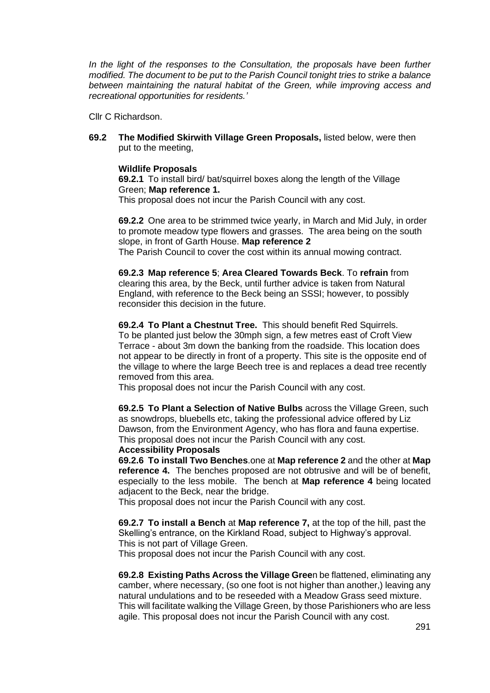*In the light of the responses to the Consultation, the proposals have been further modified. The document to be put to the Parish Council tonight tries to strike a balance between maintaining the natural habitat of the Green, while improving access and recreational opportunities for residents.'*

Cllr C Richardson.

**69.2 The Modified Skirwith Village Green Proposals,** listed below, were then put to the meeting,

## **Wildlife Proposals**

**69.2.1** To install bird/ bat/squirrel boxes along the length of the Village Green; **Map reference 1.**

This proposal does not incur the Parish Council with any cost.

**69.2.2** One area to be strimmed twice yearly, in March and Mid July, in order to promote meadow type flowers and grasses. The area being on the south slope, in front of Garth House. **Map reference 2**

The Parish Council to cover the cost within its annual mowing contract.

**69.2.3 Map reference 5**; **Area Cleared Towards Beck**. To **refrain** from clearing this area, by the Beck, until further advice is taken from Natural England, with reference to the Beck being an SSSI; however, to possibly reconsider this decision in the future.

**69.2.4 To Plant a Chestnut Tree.** This should benefit Red Squirrels. To be planted just below the 30mph sign, a few metres east of Croft View Terrace - about 3m down the banking from the roadside. This location does not appear to be directly in front of a property. This site is the opposite end of the village to where the large Beech tree is and replaces a dead tree recently removed from this area.

This proposal does not incur the Parish Council with any cost.

**69.2.5 To Plant a Selection of Native Bulbs** across the Village Green, such as snowdrops, bluebells etc, taking the professional advice offered by Liz Dawson, from the Environment Agency, who has flora and fauna expertise. This proposal does not incur the Parish Council with any cost.

### **Accessibility Proposals**

**69.2.6 To install Two Benches**.one at **Map reference 2** and the other at **Map reference 4.** The benches proposed are not obtrusive and will be of benefit, especially to the less mobile. The bench at **Map reference 4** being located adjacent to the Beck, near the bridge.

This proposal does not incur the Parish Council with any cost.

**69.2.7 To install a Bench** at **Map reference 7,** at the top of the hill, past the Skelling's entrance, on the Kirkland Road, subject to Highway's approval. This is not part of Village Green.

This proposal does not incur the Parish Council with any cost.

**69.2.8 Existing Paths Across the Village Gree**n be flattened, eliminating any camber, where necessary, (so one foot is not higher than another,) leaving any natural undulations and to be reseeded with a Meadow Grass seed mixture. This will facilitate walking the Village Green, by those Parishioners who are less agile. This proposal does not incur the Parish Council with any cost.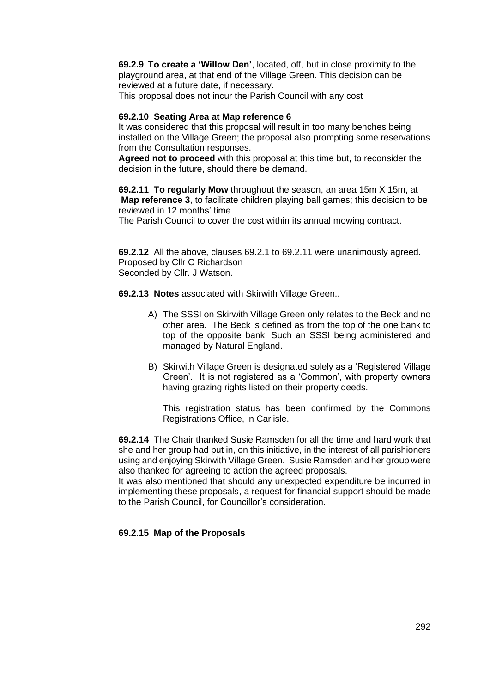**69.2.9 To create a 'Willow Den'**, located, off, but in close proximity to the playground area, at that end of the Village Green. This decision can be reviewed at a future date, if necessary.

This proposal does not incur the Parish Council with any cost

## **69.2.10 Seating Area at Map reference 6**

It was considered that this proposal will result in too many benches being installed on the Village Green; the proposal also prompting some reservations from the Consultation responses.

**Agreed not to proceed** with this proposal at this time but, to reconsider the decision in the future, should there be demand.

**69.2.11 To regularly Mow** throughout the season, an area 15m X 15m, at **Map reference 3**, to facilitate children playing ball games; this decision to be reviewed in 12 months' time

The Parish Council to cover the cost within its annual mowing contract.

**69.2.12** All the above, clauses 69.2.1 to 69.2.11 were unanimously agreed. Proposed by Cllr C Richardson Seconded by Cllr. J Watson.

**69.2.13 Notes** associated with Skirwith Village Green..

- A) The SSSI on Skirwith Village Green only relates to the Beck and no other area. The Beck is defined as from the top of the one bank to top of the opposite bank. Such an SSSI being administered and managed by Natural England.
- B) Skirwith Village Green is designated solely as a 'Registered Village Green'. It is not registered as a 'Common', with property owners having grazing rights listed on their property deeds.

This registration status has been confirmed by the Commons Registrations Office, in Carlisle.

**69.2.14** The Chair thanked Susie Ramsden for all the time and hard work that she and her group had put in, on this initiative, in the interest of all parishioners using and enjoying Skirwith Village Green. Susie Ramsden and her group were also thanked for agreeing to action the agreed proposals.

It was also mentioned that should any unexpected expenditure be incurred in implementing these proposals, a request for financial support should be made to the Parish Council, for Councillor's consideration.

## **69.2.15 Map of the Proposals**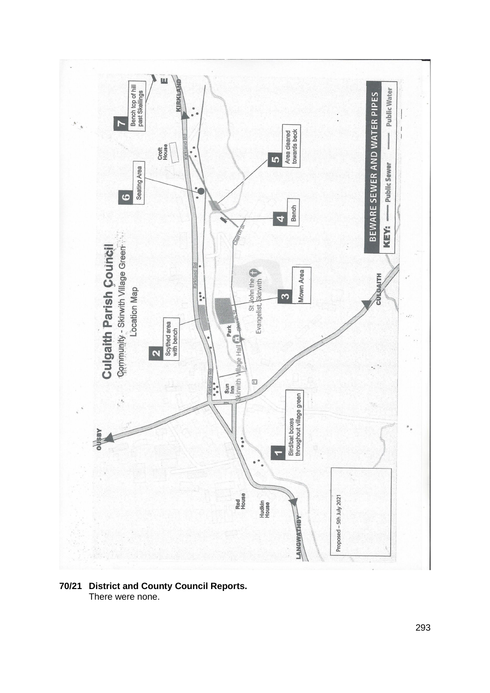

#### **70/21 District and County Council Reports.** There were none.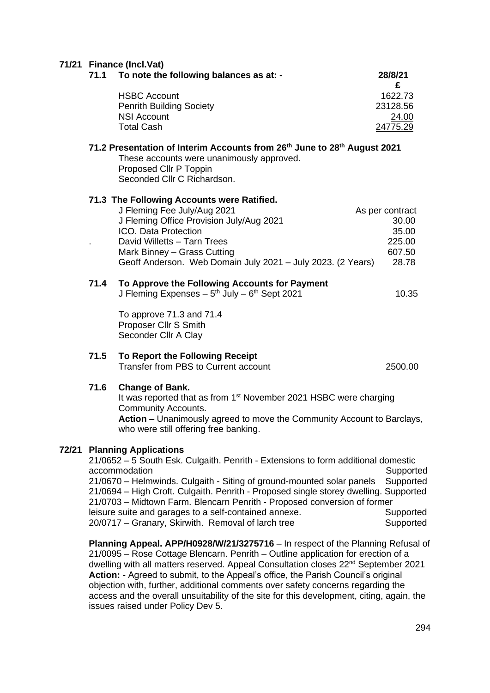## **71/21 Finance (Incl.Vat)**

**72/21 Planning Applications**

|                                                                                                                                                                                                        | Filiance (Incl. Val)<br>71.1 To note the following balances as at: -                                                                                                                                                                                                                                                                                                                                                                                                                           | 28/8/21                                                        |
|--------------------------------------------------------------------------------------------------------------------------------------------------------------------------------------------------------|------------------------------------------------------------------------------------------------------------------------------------------------------------------------------------------------------------------------------------------------------------------------------------------------------------------------------------------------------------------------------------------------------------------------------------------------------------------------------------------------|----------------------------------------------------------------|
|                                                                                                                                                                                                        | <b>HSBC Account</b><br><b>Penrith Building Society</b><br><b>NSI Account</b><br><b>Total Cash</b>                                                                                                                                                                                                                                                                                                                                                                                              | £<br>1622.73<br>23128.56<br>24.00<br>24775.29                  |
| 71.2 Presentation of Interim Accounts from 26 <sup>th</sup> June to 28 <sup>th</sup> August 2021<br>These accounts were unanimously approved.<br>Proposed Cllr P Toppin<br>Seconded Cllr C Richardson. |                                                                                                                                                                                                                                                                                                                                                                                                                                                                                                |                                                                |
|                                                                                                                                                                                                        | 71.3 The Following Accounts were Ratified.<br>J Fleming Fee July/Aug 2021<br>J Fleming Office Provision July/Aug 2021<br>ICO. Data Protection<br>David Willetts - Tarn Trees<br>Mark Binney - Grass Cutting<br>Geoff Anderson. Web Domain July 2021 - July 2023. (2 Years)                                                                                                                                                                                                                     | As per contract<br>30.00<br>35.00<br>225.00<br>607.50<br>28.78 |
| 71.4                                                                                                                                                                                                   | To Approve the Following Accounts for Payment<br>J Fleming Expenses $-5$ <sup>th</sup> July $-6$ <sup>th</sup> Sept 2021<br>To approve 71.3 and 71.4<br>Proposer Cllr S Smith<br>Seconder Cllr A Clay                                                                                                                                                                                                                                                                                          | 10.35                                                          |
| 71.5                                                                                                                                                                                                   | To Report the Following Receipt<br>Transfer from PBS to Current account                                                                                                                                                                                                                                                                                                                                                                                                                        | 2500.00                                                        |
| 71.6                                                                                                                                                                                                   | <b>Change of Bank.</b><br>It was reported that as from 1 <sup>st</sup> November 2021 HSBC were charging<br><b>Community Accounts.</b><br>Action - Unanimously agreed to move the Community Account to Barclays,<br>who were still offering free banking.                                                                                                                                                                                                                                       |                                                                |
|                                                                                                                                                                                                        | <b>Planning Applications</b><br>21/0652 - 5 South Esk. Culgaith. Penrith - Extensions to form additional domestic<br>accommodation<br>21/0670 - Helmwinds. Culgaith - Siting of ground-mounted solar panels<br>21/0694 - High Croft. Culgaith. Penrith - Proposed single storey dwelling. Supported<br>21/0703 - Midtown Farm. Blencarn Penrith - Proposed conversion of former<br>leisure suite and garages to a self-contained annexe.<br>20/0717 - Granary, Skirwith. Removal of larch tree | Supported<br>Supported<br>Supported<br>Supported               |

**Planning Appeal. APP/H0928/W/21/3275716** – In respect of the Planning Refusal of 21/0095 – Rose Cottage Blencarn. Penrith – Outline application for erection of a dwelling with all matters reserved. Appeal Consultation closes 22<sup>nd</sup> September 2021 **Action: -** Agreed to submit, to the Appeal's office, the Parish Council's original objection with, further, additional comments over safety concerns regarding the access and the overall unsuitability of the site for this development, citing, again, the issues raised under Policy Dev 5.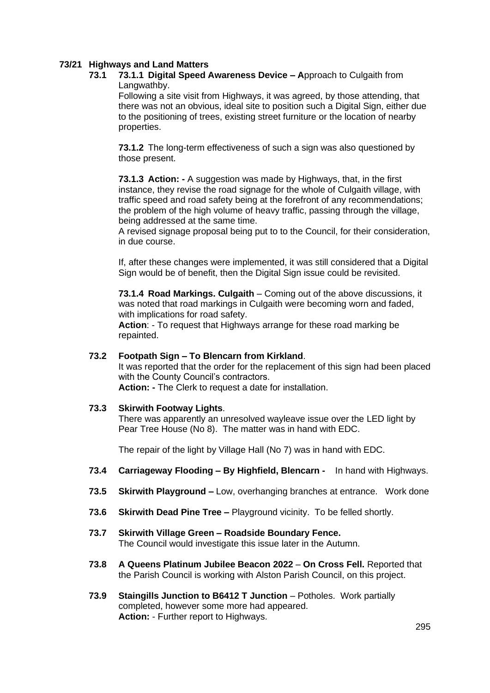## **73/21 Highways and Land Matters**

## **73.1 73.1.1 Digital Speed Awareness Device – A**pproach to Culgaith from Langwathby.

Following a site visit from Highways, it was agreed, by those attending, that there was not an obvious, ideal site to position such a Digital Sign, either due to the positioning of trees, existing street furniture or the location of nearby properties.

**73.1.2** The long-term effectiveness of such a sign was also questioned by those present.

**73.1.3 Action: -** A suggestion was made by Highways, that, in the first instance, they revise the road signage for the whole of Culgaith village, with traffic speed and road safety being at the forefront of any recommendations; the problem of the high volume of heavy traffic, passing through the village, being addressed at the same time.

A revised signage proposal being put to to the Council, for their consideration, in due course.

If, after these changes were implemented, it was still considered that a Digital Sign would be of benefit, then the Digital Sign issue could be revisited.

**73.1.4 Road Markings. Culgaith** – Coming out of the above discussions, it was noted that road markings in Culgaith were becoming worn and faded, with implications for road safety.

**Action**: - To request that Highways arrange for these road marking be repainted.

#### **73.2 Footpath Sign – To Blencarn from Kirkland**.

It was reported that the order for the replacement of this sign had been placed with the County Council's contractors.

**Action: -** The Clerk to request a date for installation.

#### **73.3 Skirwith Footway Lights**.

There was apparently an unresolved wayleave issue over the LED light by Pear Tree House (No 8). The matter was in hand with EDC.

The repair of the light by Village Hall (No 7) was in hand with EDC.

- **73.4 Carriageway Flooding – By Highfield, Blencarn** In hand with Highways.
- **73.5 Skirwith Playground –** Low, overhanging branches at entrance. Work done
- **73.6 Skirwith Dead Pine Tree –** Playground vicinity. To be felled shortly.
- **73.7 Skirwith Village Green – Roadside Boundary Fence.** The Council would investigate this issue later in the Autumn.
- **73.8 A Queens Platinum Jubilee Beacon 2022 On Cross Fell.** Reported that the Parish Council is working with Alston Parish Council, on this project.
- **73.9 Staingills Junction to B6412 T Junction** Potholes. Work partially completed, however some more had appeared. **Action:** - Further report to Highways.